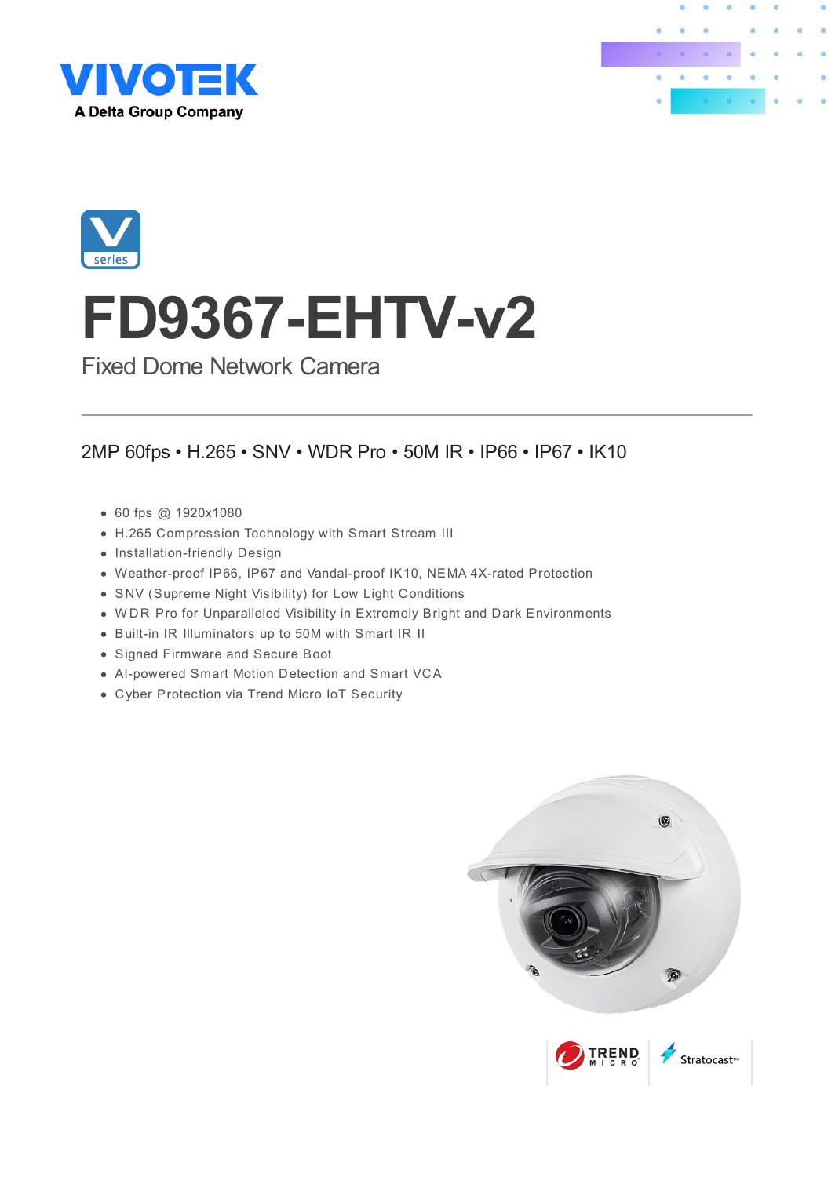





# **FD9367-EHTV-v2**

Fixed Dome Network Camera

### 2MP 60fps • H.265 • SNV • WDR Pro • 50M IR • IP66 • IP67 • IK10

- 60 fps @ 1920x1080
- H.265 Compression Technology with Smart Stream III
- Installation-friendly Design
- Weather-proof IP66, IP67 and Vandal-proof IK10, NEMA 4X-rated Protection
- SNV (Supreme Night Visibility) for Low Light Conditions
- W DR Pro for Unparalleled Visibility in Extremely Bright and Dark Environments
- Built-in IR Illuminators up to 50M with Smart IR II
- Signed Firmware and Secure Boot
- AI-powered Smart Motion Detection and Smart VCA
- Cyber Protection via Trend Micro IoT Security

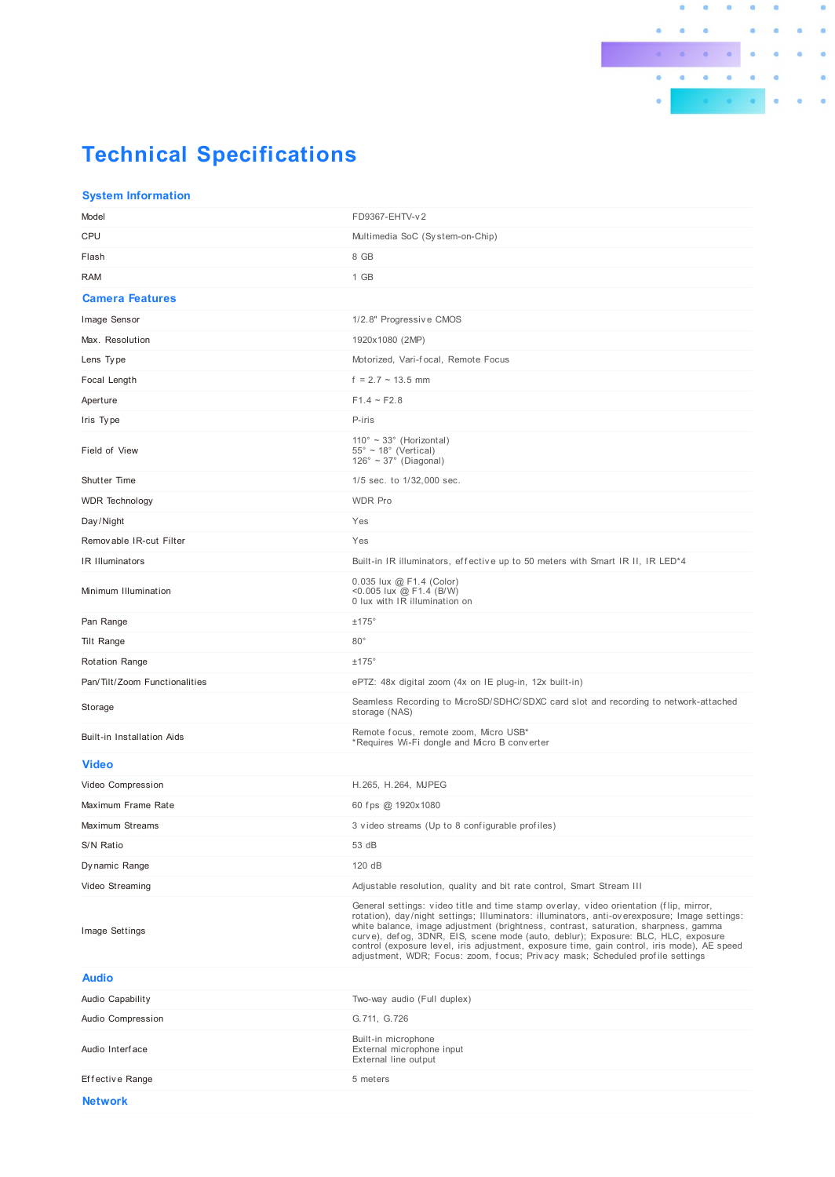## **Technical Specifications**

#### **System Information**

| Model                             | FD9367-EHTV-v2                                                                                                                                                                                                                                                                                                                                                                                                                                                                                                                                      |
|-----------------------------------|-----------------------------------------------------------------------------------------------------------------------------------------------------------------------------------------------------------------------------------------------------------------------------------------------------------------------------------------------------------------------------------------------------------------------------------------------------------------------------------------------------------------------------------------------------|
| CPU                               | Multimedia SoC (System-on-Chip)                                                                                                                                                                                                                                                                                                                                                                                                                                                                                                                     |
| Flash                             | 8 GB                                                                                                                                                                                                                                                                                                                                                                                                                                                                                                                                                |
| <b>RAM</b>                        | 1 GB                                                                                                                                                                                                                                                                                                                                                                                                                                                                                                                                                |
| <b>Camera Features</b>            |                                                                                                                                                                                                                                                                                                                                                                                                                                                                                                                                                     |
| Image Sensor                      | 1/2.8" Progressive CMOS                                                                                                                                                                                                                                                                                                                                                                                                                                                                                                                             |
| Max. Resolution                   | 1920x1080 (2MP)                                                                                                                                                                                                                                                                                                                                                                                                                                                                                                                                     |
| Lens Type                         | Motorized, Vari-focal, Remote Focus                                                                                                                                                                                                                                                                                                                                                                                                                                                                                                                 |
| Focal Length                      | $f = 2.7 - 13.5$ mm                                                                                                                                                                                                                                                                                                                                                                                                                                                                                                                                 |
| Aperture                          | $F1.4 - F2.8$                                                                                                                                                                                                                                                                                                                                                                                                                                                                                                                                       |
| Iris Type                         | P-iris                                                                                                                                                                                                                                                                                                                                                                                                                                                                                                                                              |
| Field of View                     | $110^\circ \sim 33^\circ$ (Horizontal)<br>$55^{\circ} \sim 18^{\circ}$ (Vertical)<br>$126^\circ \sim 37^\circ$ (Diagonal)                                                                                                                                                                                                                                                                                                                                                                                                                           |
| Shutter Time                      | 1/5 sec. to 1/32,000 sec.                                                                                                                                                                                                                                                                                                                                                                                                                                                                                                                           |
| <b>WDR</b> Technology             | <b>WDR Pro</b>                                                                                                                                                                                                                                                                                                                                                                                                                                                                                                                                      |
| Day/Night                         | Yes                                                                                                                                                                                                                                                                                                                                                                                                                                                                                                                                                 |
| Removable IR-cut Filter           | Yes                                                                                                                                                                                                                                                                                                                                                                                                                                                                                                                                                 |
| IR Illuminators                   | Built-in IR illuminators, effective up to 50 meters with Smart IR II, IR LED <sup>*4</sup>                                                                                                                                                                                                                                                                                                                                                                                                                                                          |
| Minimum Illumination              | 0.035 lux @ F1.4 (Color)<br><0.005 lux @ F1.4 (B/W)<br>0 lux with IR illumination on                                                                                                                                                                                                                                                                                                                                                                                                                                                                |
| Pan Range                         | ±175°                                                                                                                                                                                                                                                                                                                                                                                                                                                                                                                                               |
| Tilt Range                        | $80^\circ$                                                                                                                                                                                                                                                                                                                                                                                                                                                                                                                                          |
| <b>Rotation Range</b>             | ±175°                                                                                                                                                                                                                                                                                                                                                                                                                                                                                                                                               |
| Pan/Tilt/Zoom Functionalities     | ePTZ: 48x digital zoom (4x on IE plug-in, 12x built-in)                                                                                                                                                                                                                                                                                                                                                                                                                                                                                             |
| Storage                           | Seamless Recording to MicroSD/SDHC/SDXC card slot and recording to network-attached<br>storage (NAS)                                                                                                                                                                                                                                                                                                                                                                                                                                                |
| <b>Built-in Installation Aids</b> | Remote focus, remote zoom, Micro USB*<br>*Requires Wi-Fi dongle and Micro B converter                                                                                                                                                                                                                                                                                                                                                                                                                                                               |
| <b>Video</b>                      |                                                                                                                                                                                                                                                                                                                                                                                                                                                                                                                                                     |
| Video Compression                 | H.265, H.264, MJPEG                                                                                                                                                                                                                                                                                                                                                                                                                                                                                                                                 |
| Maximum Frame Rate                | 60 fps @ 1920x1080                                                                                                                                                                                                                                                                                                                                                                                                                                                                                                                                  |
| Maximum Streams                   | 3 video streams (Up to 8 configurable profiles)                                                                                                                                                                                                                                                                                                                                                                                                                                                                                                     |
| S/N Ratio                         | 53 dB                                                                                                                                                                                                                                                                                                                                                                                                                                                                                                                                               |
| Dynamic Range                     | 120 dB                                                                                                                                                                                                                                                                                                                                                                                                                                                                                                                                              |
| Video Streaming                   | Adjustable resolution, quality and bit rate control, Smart Stream III                                                                                                                                                                                                                                                                                                                                                                                                                                                                               |
| <b>Image Settings</b>             | General settings: video title and time stamp overlay, video orientation (flip, mirror,<br>rotation), day/night settings; Illuminators: illuminators, anti-overexposure; Image settings:<br>white balance, image adjustment (brightness, contrast, saturation, sharpness, gamma<br>curve), defog, 3DNR, EIS, scene mode (auto, deblur); Exposure: BLC, HLC, exposure<br>control (exposure level, iris adjustment, exposure time, gain control, iris mode), AE speed<br>adjustment, WDR; Focus: zoom, focus; Privacy mask; Scheduled profile settings |
| <b>Audio</b>                      |                                                                                                                                                                                                                                                                                                                                                                                                                                                                                                                                                     |
| Audio Capability                  | Two-way audio (Full duplex)                                                                                                                                                                                                                                                                                                                                                                                                                                                                                                                         |
| Audio Compression                 | G.711, G.726                                                                                                                                                                                                                                                                                                                                                                                                                                                                                                                                        |
| Audio Interface                   | Built-in microphone<br>External microphone input<br>External line output                                                                                                                                                                                                                                                                                                                                                                                                                                                                            |
|                                   |                                                                                                                                                                                                                                                                                                                                                                                                                                                                                                                                                     |
| Effective Range                   | 5 meters                                                                                                                                                                                                                                                                                                                                                                                                                                                                                                                                            |

 $\bullet$  $\bullet$ 

a.

 $\begin{array}{ccc} \bullet & \bullet & \bullet \end{array}$ 

 $\sim$  $\circ$ 

> $\bullet$  $\overline{\bullet}$ ö

ä

 $\ddot{\bullet}$ 

 $\bullet$  $\bullet$  $\bullet$ 

 $\bullet$ 

ö

 $\bullet$ 

 $\bullet$ 

ö

 $\bullet$ 

 $\bullet$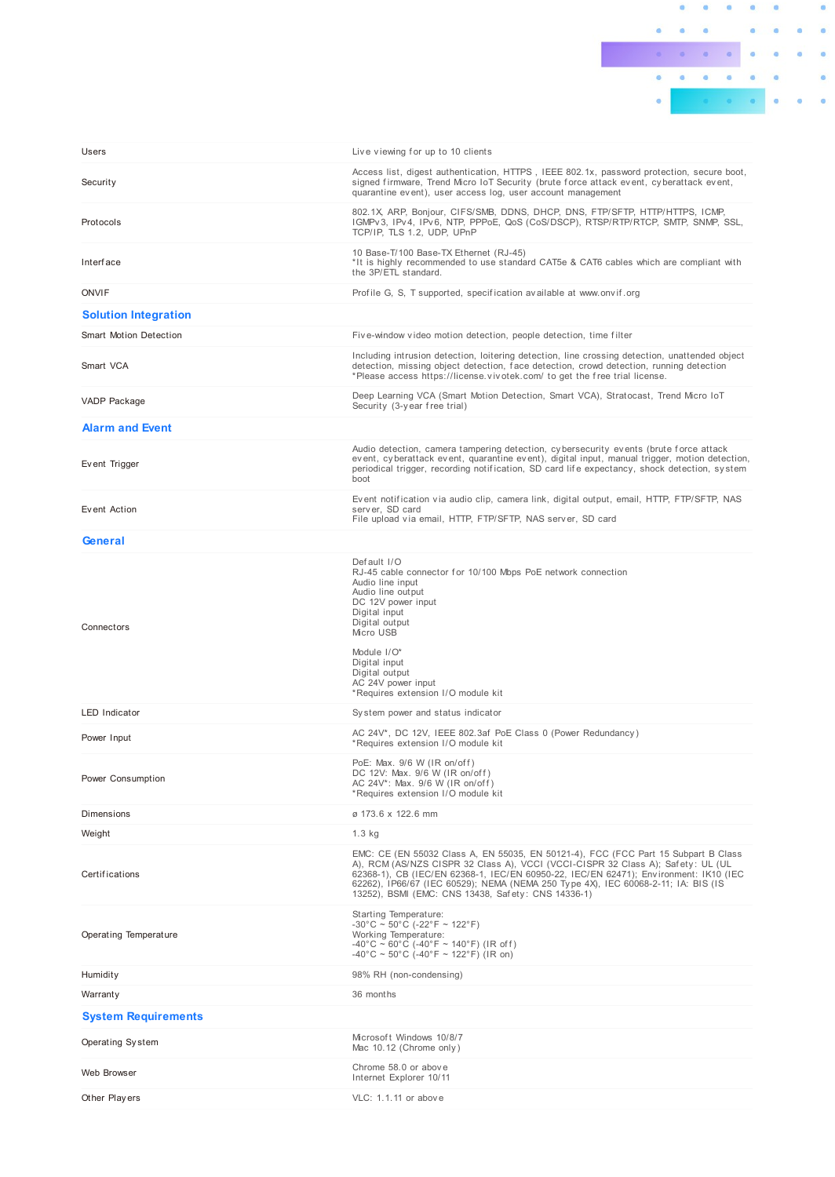

| Users                         | Live viewing for up to 10 clients                                                                                                                                                                                                                                                                                                                                                                        |
|-------------------------------|----------------------------------------------------------------------------------------------------------------------------------------------------------------------------------------------------------------------------------------------------------------------------------------------------------------------------------------------------------------------------------------------------------|
| Security                      | Access list, digest authentication, HTTPS, IEEE 802.1x, password protection, secure boot,<br>signed firmware, Trend Micro IoT Security (brute force attack event, cyberattack event,<br>quarantine event), user access log, user account management                                                                                                                                                      |
| Protocols                     | 802.1X, ARP, Bonjour, CIFS/SMB, DDNS, DHCP, DNS, FTP/SFTP, HTTP/HTTPS, ICMP,<br>IGMPv3, IPv4, IPv6, NTP, PPPoE, QoS (CoS/DSCP), RTSP/RTP/RTCP, SMTP, SNMP, SSL,<br>TCP/IP, TLS 1.2, UDP, UPnP                                                                                                                                                                                                            |
| <b>Interface</b>              | 10 Base-T/100 Base-TX Ethernet (RJ-45)<br>*It is highly recommended to use standard CAT5e & CAT6 cables which are compliant with<br>the 3P/ETL standard.                                                                                                                                                                                                                                                 |
| <b>ONVIF</b>                  | Profile G, S, T supported, specification available at www.onvif.org                                                                                                                                                                                                                                                                                                                                      |
| <b>Solution Integration</b>   |                                                                                                                                                                                                                                                                                                                                                                                                          |
| <b>Smart Motion Detection</b> | Five-window video motion detection, people detection, time filter                                                                                                                                                                                                                                                                                                                                        |
| Smart VCA                     | Including intrusion detection, loitering detection, line crossing detection, unattended object<br>detection, missing object detection, face detection, crowd detection, running detection<br>*Please access https://license.vivotek.com/ to get the free trial license.                                                                                                                                  |
| VADP Package                  | Deep Learning VCA (Smart Motion Detection, Smart VCA), Stratocast, Trend Micro IoT<br>Security (3-year free trial)                                                                                                                                                                                                                                                                                       |
| <b>Alarm and Event</b>        |                                                                                                                                                                                                                                                                                                                                                                                                          |
| Event Trigger                 | Audio detection, camera tampering detection, cybersecurity events (brute force attack<br>event, cyberattack event, quarantine event), digital input, manual trigger, motion detection,<br>periodical trigger, recording notification, SD card life expectancy, shock detection, system<br>boot                                                                                                           |
| Event Action                  | Event notification via audio clip, camera link, digital output, email, HTTP, FTP/SFTP, NAS<br>server. SD card<br>File upload via email, HTTP, FTP/SFTP, NAS server, SD card                                                                                                                                                                                                                              |
| General                       |                                                                                                                                                                                                                                                                                                                                                                                                          |
| Connectors                    | Default I/O<br>RJ-45 cable connector for 10/100 Mbps PoE network connection<br>Audio line input<br>Audio line output<br>DC 12V power input<br>Digital input<br>Digital output<br>Micro USB<br>Module I/O*<br>Digital input<br>Digital output<br>AC 24V power input<br>*Requires extension I/O module kit                                                                                                 |
| <b>LED</b> Indicator          | System power and status indicator                                                                                                                                                                                                                                                                                                                                                                        |
| Power Input                   | AC 24V*, DC 12V, IEEE 802.3af PoE Class 0 (Power Redundancy)<br>*Requires extension I/O module kit                                                                                                                                                                                                                                                                                                       |
| Power Consumption             | PoE: Max. 9/6 W (IR on/off)<br>DC 12V: Max. 9/6 W (IR on/off)<br>AC 24V*: Max. 9/6 W (IR on/off)<br>*Requires extension I/O module kit                                                                                                                                                                                                                                                                   |
| Dimensions                    | ø 173.6 x 122.6 mm                                                                                                                                                                                                                                                                                                                                                                                       |
| Weight                        | $1.3$ kg                                                                                                                                                                                                                                                                                                                                                                                                 |
| <b>Certifications</b>         | EMC: CE (EN 55032 Class A, EN 55035, EN 50121-4), FCC (FCC Part 15 Subpart B Class<br>A), RCM (AS/NZS CISPR 32 Class A), VCCI (VCCI-CISPR 32 Class A); Safety: UL (UL<br>62368-1), CB (IEC/EN 62368-1, IEC/EN 60950-22, IEC/EN 62471); Environment: IK10 (IEC<br>62262), IP66/67 (IEC 60529); NEMA (NEMA 250 Type 4X), IEC 60068-2-11; IA: BIS (IS<br>13252), BSMI (EMC: CNS 13438, Safety: CNS 14336-1) |
| Operating Temperature         | Starting Temperature:<br>$-30^{\circ}$ C ~ 50°C (-22°F ~ 122°F)<br>Working Temperature:<br>$-40^{\circ}$ C ~ 60°C (-40°F ~ 140°F) (IR off)<br>$-40^{\circ}$ C ~ 50°C (-40°F ~ 122°F) (IR on)                                                                                                                                                                                                             |
| Humidity                      | 98% RH (non-condensing)                                                                                                                                                                                                                                                                                                                                                                                  |
| Warranty                      | 36 months                                                                                                                                                                                                                                                                                                                                                                                                |
| <b>System Requirements</b>    |                                                                                                                                                                                                                                                                                                                                                                                                          |
| Operating System              | Microsoft Windows 10/8/7<br>Mac 10.12 (Chrome only)                                                                                                                                                                                                                                                                                                                                                      |
| Web Browser                   | Chrome 58.0 or above<br>Internet Explorer 10/11                                                                                                                                                                                                                                                                                                                                                          |
| Other Players                 | VLC: 1.1.11 or above                                                                                                                                                                                                                                                                                                                                                                                     |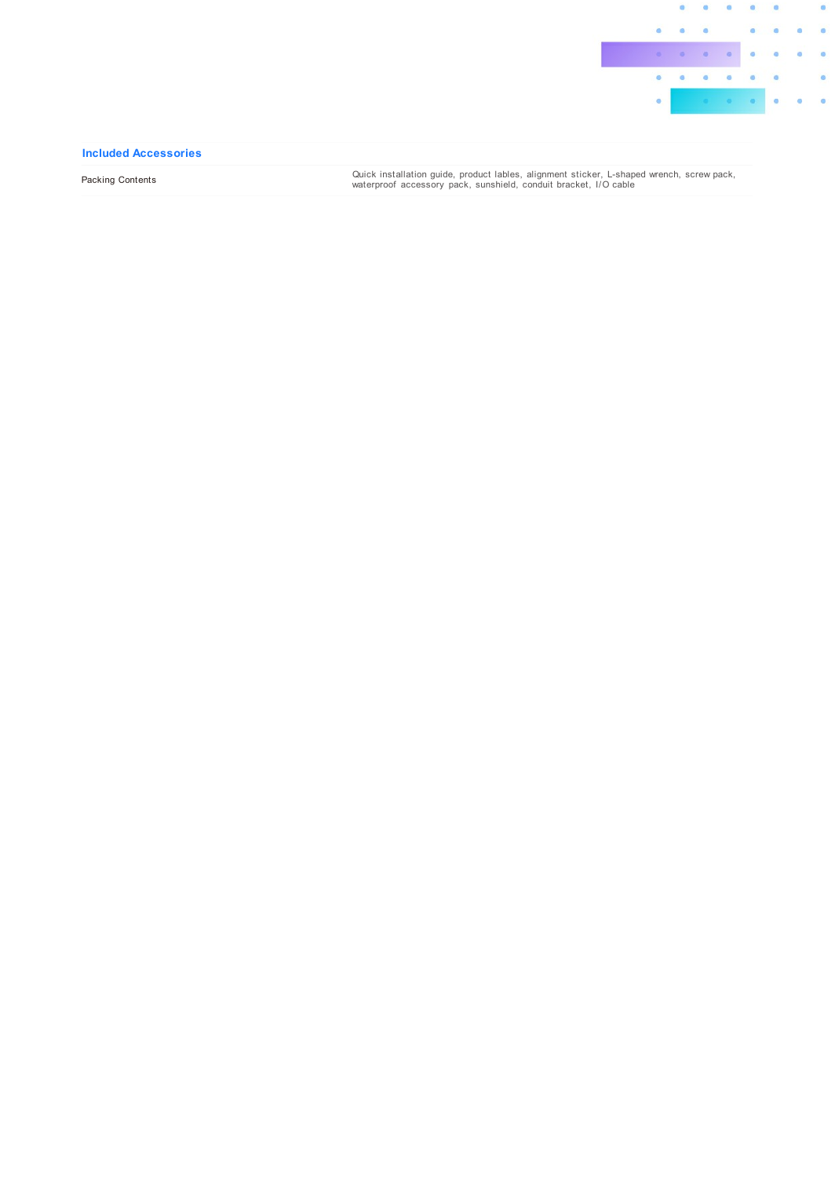

#### Included Accessories

Packing Contents

Quick installation guide, product lables, alignment sticker, L-shaped wrench, screw pack,<br>waterproof accessory pack, sunshield, conduit bracket, I/O cable